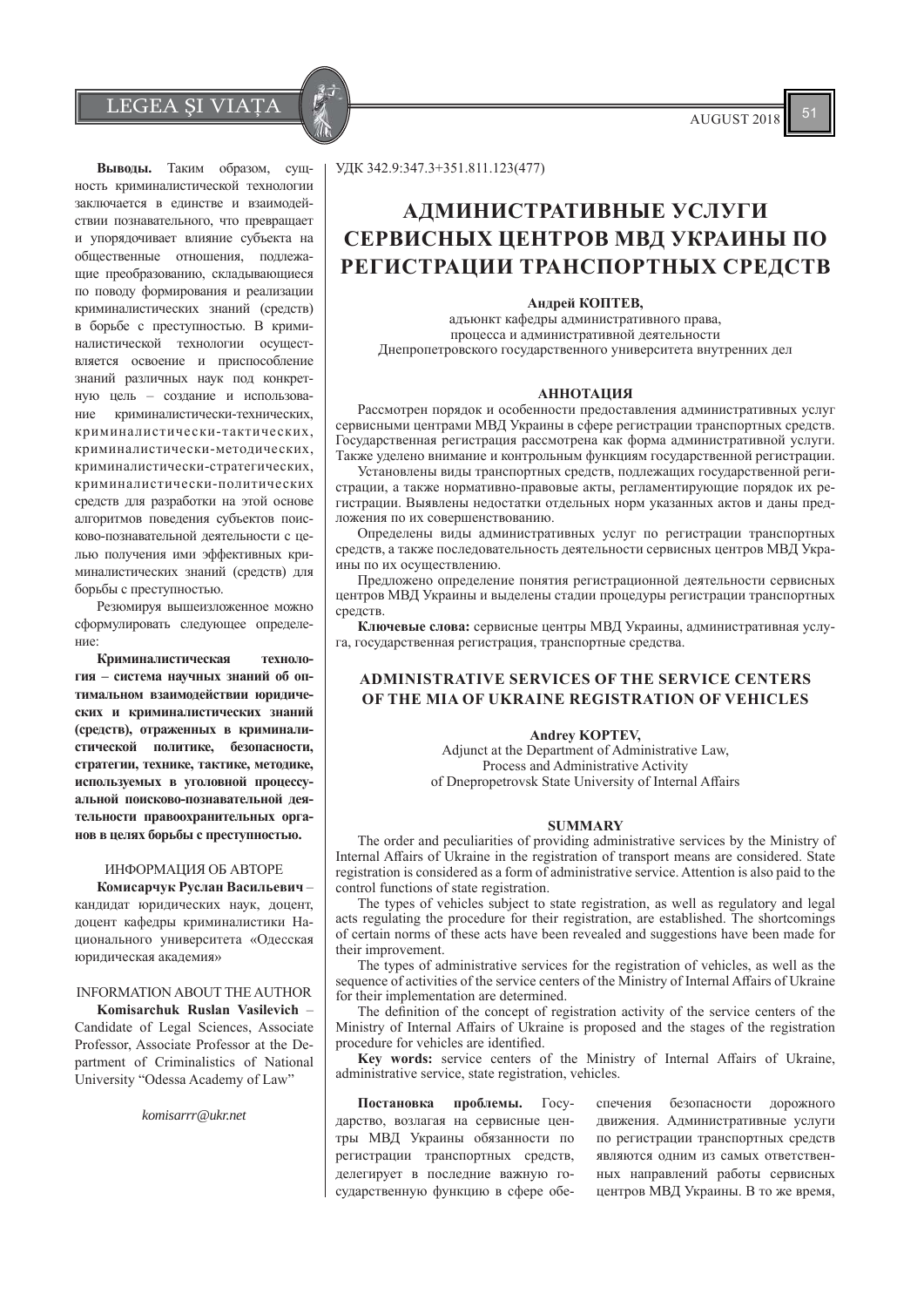$LEGEA \, \text{SIVIA} \, \parallel \, \text{AUSUST 2018}$ 

Выводы. Таким образом, сущность криминалистической технологии заключается в единстве и взаимодействии познавательного, что превращает и упорядочивает влияние субъекта на общественные отношения, подлежащие преобразованию, складывающиеся по поводу формирования и реализации криминалистических знаний (средств) в борьбе с преступностью. В криминалистической технологии осуществляется освоение и приспособление знаний различных наук под конкретную цель - создание и использование криминалистически-технических, криминалистически-тактических, криминалистически-методических, криминалистически-стратегических, криминалистически-политических средств для разработки на этой основе алгоритмов поведения субъектов поисково-познавательной деятельности с целью получения ими эффективных криминалистических знаний (средств) для борьбы с преступностью.

Резюмируя вышеизложенное можно сформулировать следующее определение:

Криминалистическая технология = система научных знаний об оптимальном взаимолействии юрилических и криминалистических знаний (средств), отраженных в криминалистической политике, безопасности, стратегии, технике, тактике, методике, используемых в уголовной процессуальной поисково-познавательной деятельности правоохранительных органов в целях борьбы с преступностью.

# ИНФОРМАЦИЯ ОБ АВТОРЕ

Комисарчук Руслан Васильевичкандидат юридических наук, доцент, доцент кафедры криминалистики Национального университета «Одесская юрилическая акалемия»

# INFORMATION ABOUT THE AUTHOR

**Komisarchuk Ruslan Vasilevich** Candidate of Legal Sciences, Associate Professor, Associate Professor at the Department of Criminalistics of National University "Odessa Academy of Law"

*komisarrr@ukr.net*

УДК 342.9:347.3+351.811.123(477)

# **АДМИНИСТРАТИВНЫЕ УСЛУГИ** СЕРВИСНЫХ ЦЕНТРОВ МВД УКРАИНЫ ПО РЕГИСТРАЦИИ ТРАНСПОРТНЫХ СРЕДСТВ

### Андрей КОПТЕВ,

адъюнкт кафедры административного права, процесса и административной деятельности Днепропетровского государственного университета внутренних дел

## **АННОТАЦИЯ**

Рассмотрен порядок и особенности предоставления административных услуг сервисными центрами МВД Украины в сфере регистрации транспортных средств. Государственная регистрация рассмотрена как форма административной услуги. Также уделено внимание и контрольным функциям государственной регистрации.

Установлены виды транспортных средств, подлежащих государственной регистрации, а также нормативно-правовые акты, регламентирующие порядок их регистрации. Выявлены недостатки отдельных норм указанных актов и даны предложения по их совершенствованию.

Определены виды административных услуг по регистрации транспортных средств, а также последовательность деятельности сервисных центров МВД Украины по их осуществлению.

Предложено определение понятия регистрационной деятельности сервисных центров МВД Украины и выделены стадии процедуры регистрации транспортных средств.

Ключевые слова: сервисные центры МВД Украины, административная услуга, государственная регистрация, транспортные средства.

# **ADMINISTRATIVE SERVICES OF THE SERVICE CENTERS 2) OF THE MIA OF UKRAINE REGISTRATION OF VEHICLES**

### Andrey KOPTEV,

Adjunct at the Department of Administrative Law, Process and Administrative Activity of Dnepropetrovsk State University of Internal Affairs

## $$

The order and peculiarities of providing administrative services by the Ministry of Internal Affairs of Ukraine in the registration of transport means are considered. State registration is considered as a form of administrative service. Attention is also paid to the control functions of state registration.

The types of vehicles subject to state registration, as well as regulatory and legal acts regulating the procedure for their registration, are established. The shortcomings of certain norms of these acts have been revealed and suggestions have been made for their improvement.

The types of administrative services for the registration of vehicles, as well as the sequence of activities of the service centers of the Ministry of Internal Affairs of Ukraine for their implementation are determined.

The definition of the concept of registration activity of the service centers of the Ministry of Internal Affairs of Ukraine is proposed and the stages of the registration procedure for vehicles are identified.

Key words: service centers of the Ministry of Internal Affairs of Ukraine, administrative service, state registration, vehicles.

Постановка проблемы. Государство, возлагая на сервисные центры МВД Украины обязанности по регистрации транспортных средств, делегирует в последние важную государственную функцию в сфере обе-

спечения безопасности дорожного движения. Административные услуги по регистрации транспортных средств являются одним из самых ответственных направлений работы сервисных центров МВД Украины. В то же время,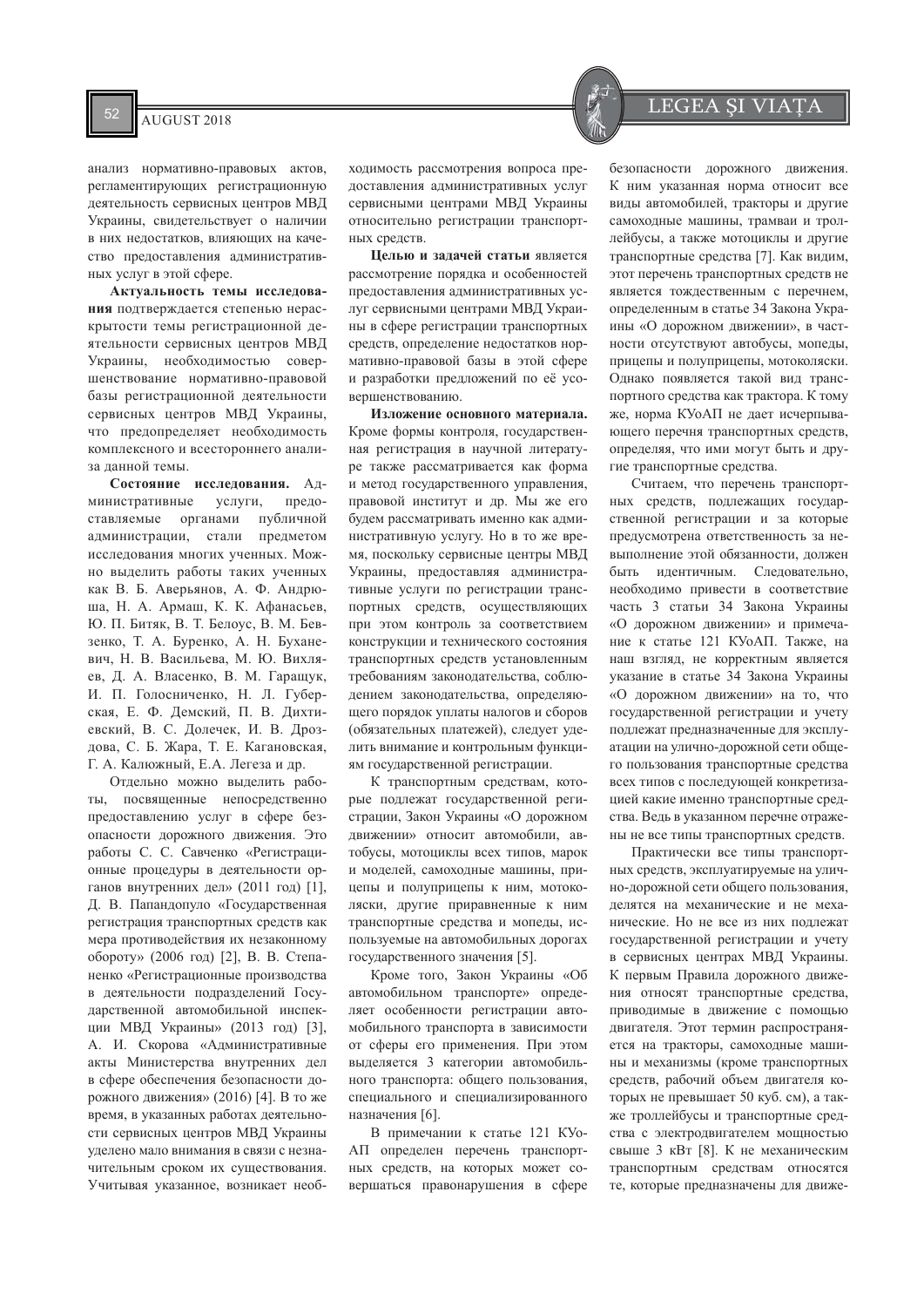$\overline{\text{AUGUST 2018}}$  LEGEA ȘI VIAȚA

анализ нормативно-правовых актов, регламентирующих регистрационную деятельность сервисных центров МВД Украины, свидетельствует о наличии в них недостатков, влияющих на качество предоставления административных услуг в этой сфере.

Актуальность темы исследования подтверждается степенью нераскрытости темы регистрационной деятельности сервисных центров МВД Украины, необходимостью совершенствование нормативно-правовой базы регистрационной деятельности сервисных центров МВД Украины, что предопределяет необходимость комплексного и всестороннего анализа данной темы.

Состояние исследования. Административные услуги, предоставляемые органами публичной администрации, стали предметом исследования многих ученных. Можно выделить работы таких ученных как В. Б. Аверьянов, А. Ф. Анлрюша, Н. А. Армаш, К. К. Афанасьев, Ю. П. Битяк. В. Т. Белоус. В. М. Бевзенко, Т. А. Буренко, А. Н. Буханевич. Н. В. Васильева. М. Ю. Вихляeb. Π. A. Βπaceнκo, B. M. Γapallivk. И. П. Голосниченко, Н. Л. Губерская, Е. Ф. Демский, П. В. Дихтиевский, В. С. Долечек, И. В. Дроздова, С. Б. Жара, Т. Е. Кагановская, Г. А. Калюжный, Е.А. Легеза и др.

Отдельно можно выделить работы, посвященные непосредственно предоставлению услуг в сфере безопасности дорожного движения. Это работы С. С. Савченко «Регистрационные процедуры в деятельности органов внутренних дел» (2011 год) [1], Д. В. Папандопуло «Государственная регистрация транспортных средств как мера противодействия их незаконному обороту» (2006 год) [2], В. В. Степаненко «Регистрационные производства в деятельности подразделений Государственной автомобильной инспекции МВД Украины» (2013 год) [3], А. И. Скорова «Административные акты Министерства внутренних дел в сфере обеспечения безопасности дорожного движения» (2016) [4]. В то же время, в указанных работах деятельности сервисных центров МВД Украины уделено мало внимания в связи с незначительным сроком их существования. Учитывая указанное, возникает необходимость рассмотрения вопроса предоставления административных услуг сервисными центрами МВД Украины относительно регистрации транспортных средств.

**Целью и задачей статьи является** рассмотрение порядка и особенностей предоставления административных услуг сервисными центрами МВД Украины в сфере регистрации транспортных средств, определение недостатков нормативно-правовой базы в этой сфере и разработки предложений по её усовершенствованию.

Изложение основного материала. Кроме формы контроля, государственная регистрация в научной литературе также рассматривается как форма и метод государственного управления, правовой институт и др. Мы же его будем рассматривать именно как административную услугу. Но в то же время, поскольку сервисные центры МВД Украины, прелоставляя алминистративные услуги по регистрации транспортных средств, осуществляющих при этом контроль за соответствием конструкции и технического состояния транспортных средств установленным требованиям законолательства, соблюотова, анием законодательства, определяющего порядок уплаты налогов и сборов (обязательных платежей), следует уделить внимание и контрольным функциям государственной регистрации.

К транспортным средствам, которые подлежат государственной регистрации, Закон Украины «О дорожном движении» относит автомобили, автобусы, мотоциклы всех типов, марок и моделей, самоходные машины, прицепы и полуприцепы к ним, мотоколяски, другие приравненные к ним транспортные средства и мопеды, используемые на автомобильных дорогах государственного значения [5].

Кроме того, Закон Украины «Об автомобильном транспорте» определяет особенности регистрации автомобильного транспорта в зависимости от сферы его применения. При этом выделяется 3 категории автомобильного транспорта: общего пользования, специального и специализированного назначения [6].

В примечании к статье 121 КУо-АП определен перечень транспортных средств, на которых может совершаться правонарушения в сфере

безопасности дорожного движения. К ним указанная норма относит все виды автомобилей, тракторы и другие самоходные машины, трамваи и троллейбусы, а также мотоциклы и другие транспортные средства [7]. Как видим, этот перечень транспортных средств не является тождественным с перечнем, определенным в статье 34 Закона Украины «О дорожном движении», в частности отсутствуют автобусы, мопеды, прицепы и полуприцепы, мотоколяски. Однако появляется такой вид транспортного средства как трактора. К тому же, норма КУоАП не дает исчерпывающего перечня транспортных средств, определяя, что ими могут быть и другие транспортные средства.

Считаем, что перечень транспортных средств, подлежащих государственной регистрации и за которые предусмотрена ответственность за невыполнение этой обязанности, должен быть илентичным. Слеловательно. необхолимо привести в соответствие часть 3 статьи 34 Закона Украины «О лорожном лвижении» и примечание к статье 121 КУоАП. Также, на наш взгляд, не корректным является VKAЗАНИЕ В СТАТЬЕ 34 ЗАКОНА УКРАИНЫ «О дорожном движении» на то, что государственной регистрации и учету подлежат предназначенные для эксплуатации на улично-дорожной сети общего пользования транспортные средства всех типов с последующей конкретизацией какие именно транспортные средства. Ведь в указанном перечне отражены не все типы транспортных средств.

Практически все типы транспортных средств, эксплуатируемые на улично-дорожной сети общего пользования, лелятся на механические и не механические. Но не все из них подлежат государственной регистрации и учету в сервисных центрах МВД Украины. К первым Правила дорожного движения относят транспортные средства, приводимые в движение с помощью двигателя. Этот термин распространяется на тракторы, самоходные машины и механизмы (кроме транспортных средств, рабочий объем двигателя которых не превышает 50 куб. см), а также троллейбусы и транспортные средства с электродвигателем мощностью свыше 3 кВт [8]. К не механическим транспортным средствам относятся те, которые предназначены для движе-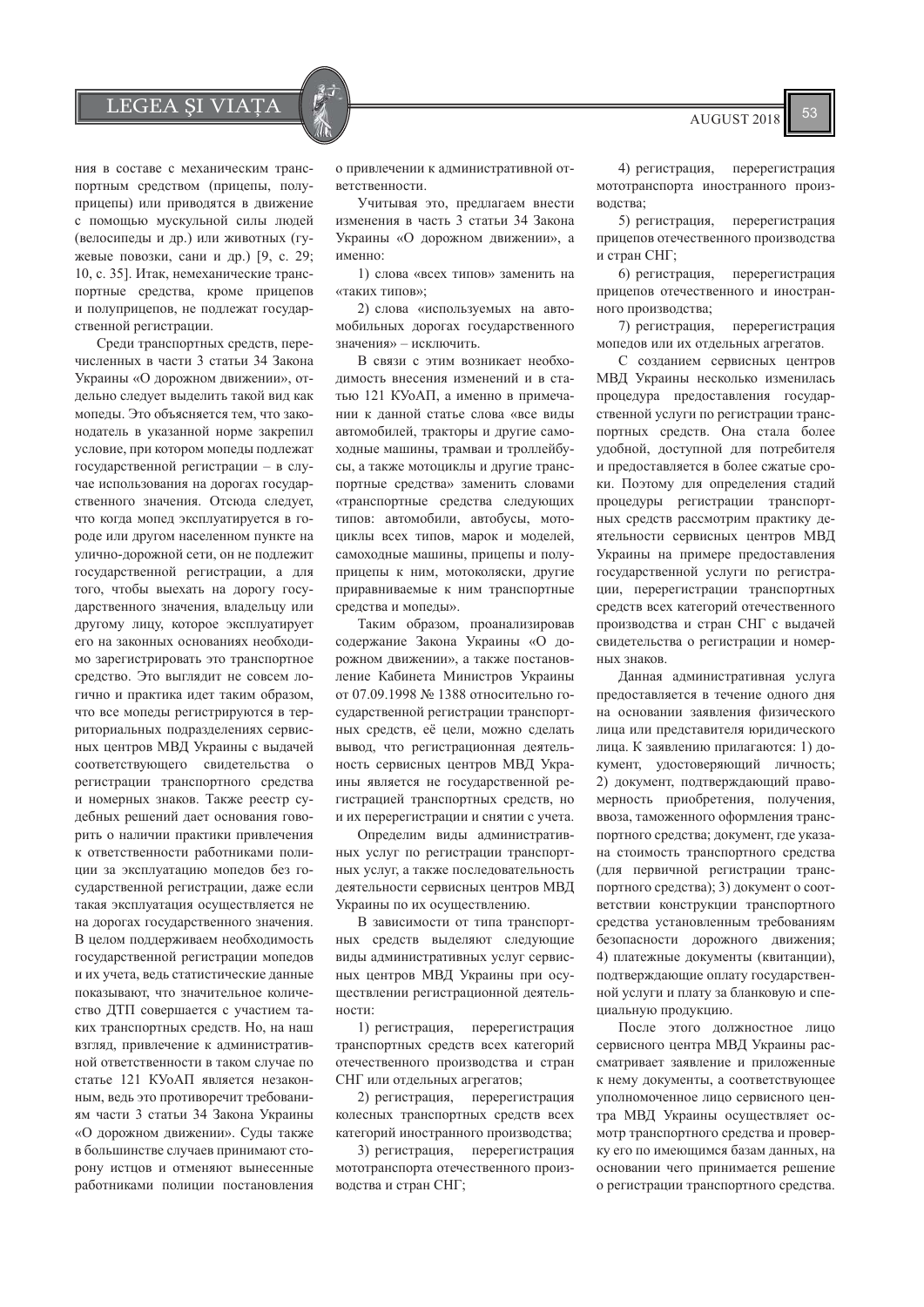$LEGEA \, \xi I \, \text{VIATA}$   $\left| \begin{array}{c} \xi \\ \xi \end{array} \right|$   $\left| \begin{array}{c} \xi \\ \xi \end{array} \right|$   $\left| \begin{array}{c} \xi \\ \xi \end{array} \right|$   $\left| \begin{array}{c} \xi \\ \xi \end{array} \right|$ 

ния в составе с механическим транспортным средством (прицепы, полуприцепы) или приводятся в движение с помощью мускульной силы людей (велосипеды и др.) или животных (гужевые повозки, сани и др.) [9, с. 29; 10, с. 35]. Итак, немеханические транспортные средства, кроме прицепов и полуприцепов, не подлежат государственной регистрации.

Среди транспортных средств, перечисленных в части 3 статьи 34 Закона Украины «О дорожном движении», отдельно следует выделить такой вид как мопеды. Это объясняется тем, что законодатель в указанной норме закрепил условие, при котором мопеды подлежат государственной регистрации - в случае использования на дорогах государственного значения. Отсюда следует, что когда мопед эксплуатируется в городе или другом населенном пункте на улично-дорожной сети, он не подлежит государственной регистрации, а для того, чтобы выехать на дорогу государственного значения, владельцу или другому лицу, которое эксплуатирует его на законных основаниях необхолимо зарегистрировать это транспортное средство. Это выглядит не совсем логично и практика идет таким образом, что все мопеды регистрируются в территориальных подразделениях сервисных центров МВД Украины с выдачей соответствующего свидетельства о регистрации транспортного средства и номерных знаков. Также реестр судебных решений дает основания говорить о наличии практики привлечения к ответственности работниками полиции за эксплуатацию мопедов без государственной регистрации, даже если такая эксплуатация осуществляется не на дорогах государственного значения. В целом поддерживаем необходимость государственной регистрации мопедов и их учета, ведь статистические данные показывают, что значительное количество ДТП совершается с участием таких транспортных средств. Но, на наш взгляд, привлечение к административной ответственности в таком случае по статье 121 КУоАП является незаконным, ведь это противоречит требованиям части 3 статьи 34 Закона Украины «О дорожном движении». Суды также в большинстве случаев принимают сторону истцов и отменяют вынесенные работниками полиции постановления

о привлечении к административной ответственности.

Учитывая это, предлагаем внести изменения в часть 3 статьи 34 Закона Украины «О дорожном движении», а именно:

1) слова «всех типов» заменить на «таких типов»;

2) слова «используемых на автомобильных дорогах государственного значения» - исключить.

В связи с этим возникает необходимость внесения изменений и в статью 121 КУоАП, а именно в примечании к данной статье слова «все виды автомобилей, тракторы и другие самоходные машины, трамваи и троллейбусы, а также мотоциклы и другие транспортные средства» заменить словами «транспортные средства следующих типов: автомобили, автобусы, мотоциклы всех типов, марок и моделей, самоходные машины, прицепы и полуприцепы к ним, мотоколяски, другие приравниваемые к ним транспортные средства и мопеды».

Таким образом, проанализировав содержание Закона Украины «О дорожном лвижении», а также постановление Кабинета Министров Украины от 07.09.1998 № 1388 относительно государственной регистрации транспортных средств, её цели, можно сделать вывод, что регистрационная деятельность сервисных центров МВД Украины является не государственной регистрацией транспортных средств, но и их перерегистрации и снятии с учета.

Определим виды административных услуг по регистрации транспортных услуг, а также последовательность деятельности сервисных центров МВД Украины по их осуществлению.

В зависимости от типа транспортных средств выделяют следующие виды административных услуг сервисных центров МВД Украины при осуществлении регистрационной деятельности:

1) регистрация, перерегистрация транспортных средств всех категорий отечественного производства и стран СНГ или отдельных агрегатов;

2) регистрация, перерегистрация колесных транспортных средств всех категорий иностранного производства;

3) регистрация, перерегистрация мототранспорта отечественного произволства и стран СНГ:

4) регистрация, перерегистрация мототранспорта иностранного производства;

5) регистрация, перерегистрация прицепов отечественного производства и стран СНГ;

6) регистрация, перерегистрация прицепов отечественного и иностранного производства;

7) регистрация, перерегистрация мопедов или их отдельных агрегатов.

С созданием сервисных центров МВД Украины несколько изменилась процедура предоставления государственной услуги по регистрации транспортных средств. Она стала более удобной, доступной для потребителя и предоставляется в более сжатые сроки. Поэтому для определения стадий процедуры регистрации транспортных средств рассмотрим практику деятельности сервисных центров МВД Украины на примере предоставления государственной услуги по регистрации, перерегистрации транспортных средств всех категорий отечественного производства и стран СНГ с выдачей свидетельства о регистрации и номер-HUY 3H3KOR

Панная алминистративная услуга предоставляется в течение одного дня на основании заявления физического лица или представителя юридического лица. К заявлению прилагаются: 1) документ, удостоверяющий личность; 2) документ, подтверждающий правомерность приобретения, получения, ввоза, таможенного оформления транспортного средства; документ, где указана стоимость транспортного средства (для первичной регистрации транспортного средства); 3) документ о соответствии конструкции транспортного средства установленным требованиям безопасности дорожного движения; 4) платежные документы (квитанции), подтверждающие оплату государственной услуги и плату за бланковую и специальную продукцию.

После этого должностное лицо сервисного центра МВД Украины рассматривает заявление и приложенные к нему документы, а соответствующее уполномоченное лицо сервисного центра МВД Украины осуществляет осмотр транспортного средства и проверку его по имеющимся базам данных, на основании чего принимается решение о регистрации транспортного средства.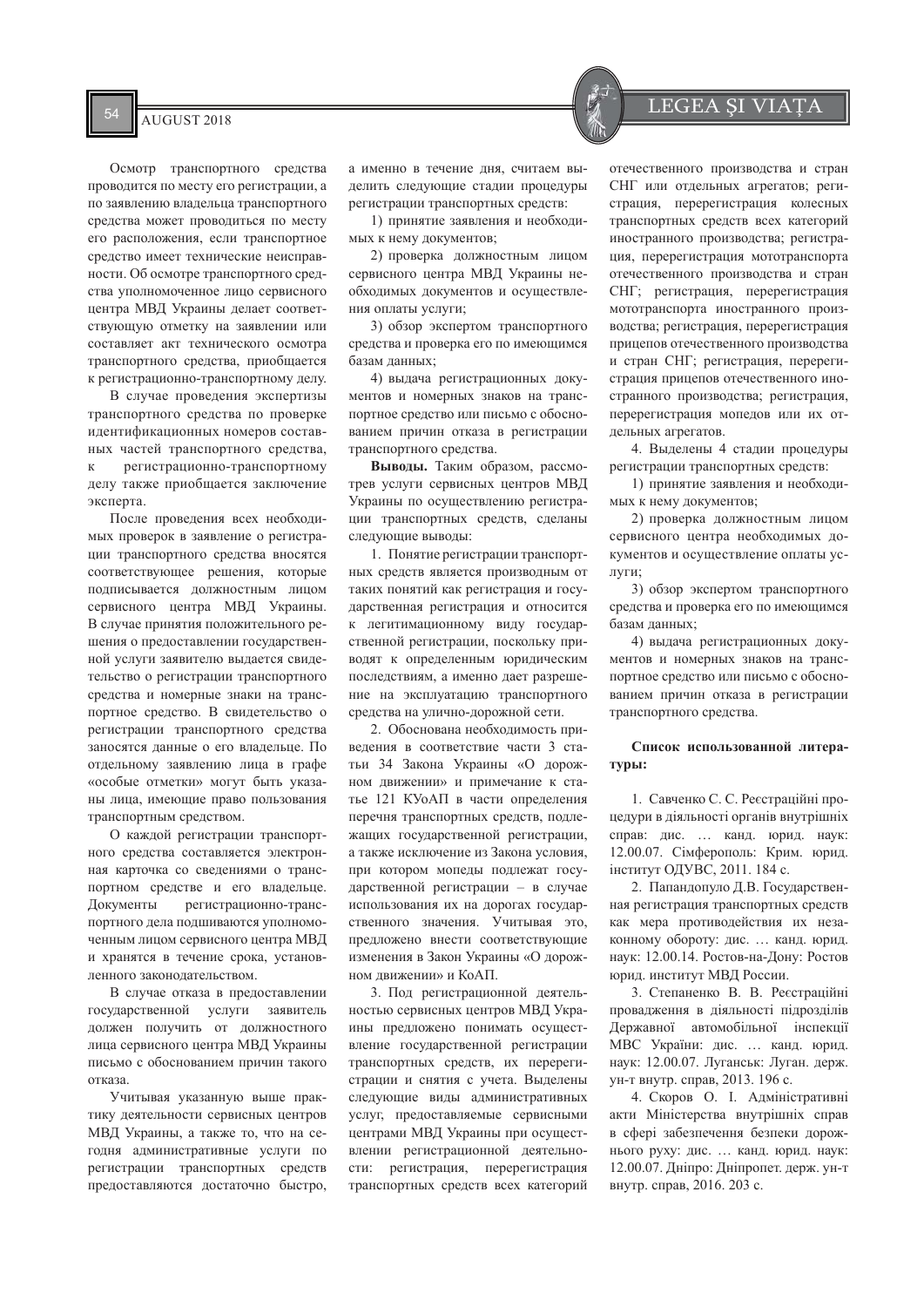Осмотр транспортного средства проводится по месту его регистрации, а по заявлению владельца транспортного средства может проводиться по месту его расположения, если транспортное средство имеет технические неисправности. Об осмотре транспортного средства уполномоченное лицо сервисного центра МВД Украины делает соответствующую отметку на заявлении или составляет акт технического осмотра транспортного средства, приобщается к регистрационно-транспортному делу.

В случае проведения экспертизы транспортного средства по проверке идентификационных номеров составных частей транспортного средства, к регистрационно-транспортному делу также приобщается заключение эксперта.

После проведения всех необходимых проверок в заявление о регистрации транспортного средства вносятся соответствующее решения, которые полписывается лолжностным липом сервисного нентра МВЛ Украины. В случае принятия положительного решения о предоставлении государственной услуги заявителю вылается свилетельство о регистрации транспортного средства и номерные знаки на транспортное средство. В свидетельство о регистрации транспортного средства заносятся данные о его владельце. По отдельному заявлению лица в графе «особые отметки» могут быть указаны лица, имеющие право пользования транспортным средством.

О каждой регистрации транспортного средства составляется электронная карточка со сведениями о транспортном средстве и его владельце. Документы регистрационно-транспортного дела подшиваются уполномоченным лицом сервисного центра МВД и хранятся в течение срока, установленного законодательством.

В случае отказа в предоставлении государственной услуги заявитель должен получить от должностного лица сервисного центра МВД Украины письмо с обоснованием причин такого отказа.

Учитывая указанную выше практику деятельности сервисных центров МВД Украины, а также то, что на сегодня административные услуги по регистрации транспортных средств предоставляются достаточно быстро.

а именно в течение дня, считаем выделить следующие стадии процедуры регистрации транспортных средств:

1) принятие заявления и необходимых к нему документов;

2) проверка должностным лицом сервисного центра МВД Украины необходимых документов и осуществления оплаты услуги;

3) обзор экспертом транспортного средства и проверка его по имеющимся базам данных;

4) выдача регистрационных документов и номерных знаков на транспортное средство или письмо с обоснованием причин отказа в регистрации транспортного средства.

Выводы. Таким образом, рассмотрев услуги сервисных центров МВД Украины по осуществлению регистрации транспортных средств, сделаны следующие выводы:

1. Понятие регистрации транспорт-НЫХ СРЕЛСТВ ЯВЛЯЕТСЯ ПРОИЗВОЛНЫМ ОТ таких понятий как регистрация и государственная регистрация и относится к легитиманионному вилу госуларственной регистрации, поскольку приводят к определенным юрилическим последствиям. а именно дает разрешение на эксплуатацию транспортного средства на улично-дорожной сети.

2. Обоснована необходимость приведения в соответствие части 3 статьи 34 Закона Украины «О дорожном движении» и примечание к статье 121 КУоАП в части определения перечня транспортных средств, подлежащих государственной регистрации, а также исключение из Закона условия, при котором мопеды подлежат государственной регистрации - в случае использования их на дорогах государственного значения. Учитывая это, предложено внести соответствующие изменения в Закон Украины «О дорожном движении» и КоАП.

3. Под регистрационной деятельностью сервисных центров МВД Украины предложено понимать осуществление государственной регистрации транспортных средств, их перерегистрации и снятия с учета. Выделены следующие виды административных үслүг, предоставляемые сервисными центрами МВД Украины при осуществлении регистрационной деятельности: регистрация, перерегистрация транспортных средств всех категорий

отечественного производства и стран СНГ или отдельных агрегатов; регистрация, перерегистрация колесных транспортных средств всех категорий иностранного производства; регистрация, перерегистрация мототранспорта отечественного производства и стран СНГ; регистрация, перерегистрация мототранспорта иностранного производства; регистрация, перерегистрация прицепов отечественного производства и стран СНГ; регистрация, перерегистрация прицепов отечественного иностранного производства; регистрация, перерегистрация мопедов или их отдельных агрегатов.

4. Выделены 4 стадии процедуры регистрации транспортных средств:

1) принятие заявления и необходимых к нему документов;

2) проверка должностным лицом сервисного центра необходимых документов и осуществление оплаты услуги:

3) обзор экспертом транспортного средства и проверка его по имеющимся базам ланных:

4) вылача регистрационных локументов и номерных знаков на транспортное средство или письмо с обоснованием причин отказа в регистрации транспортного средства.

# Список использованной литературы:

1. Савченко С. С. Реєстраційні процедури в діяльності органів внутрішніх справ: дис. ... канд. юрид. наук: 12.00.07. Сімферополь: Крим. юрид. інститут ОДУВС, 2011. 184 с.

2. Папандопуло Д.В. Государственная регистрация транспортных средств как мера противодействия их незаконному обороту: дис. ... канд. юрид. наук: 12.00.14. Ростов-на-Дону: Ростов юрид. институт МВД России.

3. Степаненко В. В. Ресстраційні провадження в діяльності підрозділів Державної автомобільної інспекції МВС України: дис. ... канд. юрид. наук: 12.00.07. Луганськ: Луган. держ. ун-т внутр. справ, 2013. 196 с.

4. Скоров О. І. Адміністративні акти Міністерства внутрішніх справ в сфері забезпечення безпеки дорожнього руху: дис. ... канд. юрид. наук: 12.00.07. Дніпро: Дніпропет. держ. ун-т внутр. справ. 2016. 203 с.